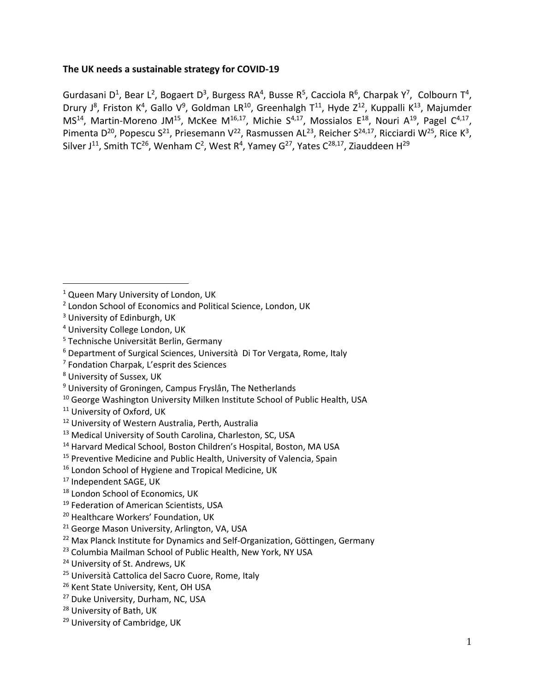## **The UK needs a sustainable strategy for COVID-19**

Gurdasani D<sup>1</sup>, Bear L<sup>2</sup>, Bogaert D<sup>3</sup>, Burgess RA<sup>4</sup>, Busse R<sup>5</sup>, Cacciola R<sup>6</sup>, Charpak Y<sup>7</sup>, Colbourn T<sup>4</sup>, Drury J<sup>8</sup>, Friston K<sup>4</sup>, Gallo V<sup>9</sup>, Goldman LR<sup>10</sup>, Greenhalgh T<sup>11</sup>, Hyde Z<sup>12</sup>, Kuppalli K<sup>13</sup>, Majumder MS<sup>14</sup>, Martin-Moreno JM<sup>15</sup>, McKee M<sup>16,17</sup>, Michie S<sup>4,17</sup>, Mossialos E<sup>18</sup>, Nouri A<sup>19</sup>, Pagel C<sup>4,17</sup>, Pimenta D<sup>20</sup>, Popescu S<sup>21</sup>, Priesemann V<sup>22</sup>, Rasmussen AL<sup>23</sup>, Reicher S<sup>24,17</sup>, Ricciardi W<sup>25</sup>, Rice K<sup>3</sup>, Silver J<sup>11</sup>, Smith TC<sup>26</sup>, Wenham C<sup>2</sup>, West R<sup>4</sup>, Yamey G<sup>27</sup>, Yates C<sup>28,17</sup>, Ziauddeen H<sup>29</sup>

 $\overline{a}$ 

- <sup>15</sup> Preventive Medicine and Public Health, University of Valencia, Spain
- <sup>16</sup> London School of Hygiene and Tropical Medicine, UK
- <sup>17</sup> Independent SAGE, UK
- 18 London School of Economics, UK
- <sup>19</sup> Federation of American Scientists, USA
- <sup>20</sup> Healthcare Workers' Foundation, UK
- <sup>21</sup> George Mason University, Arlington, VA, USA
- <sup>22</sup> Max Planck Institute for Dynamics and Self-Organization, Göttingen, Germany
- <sup>23</sup> Columbia Mailman School of Public Health, New York, NY USA
- <sup>24</sup> University of St. Andrews, UK
- <sup>25</sup> Università Cattolica del Sacro Cuore, Rome, Italy
- <sup>26</sup> Kent State University, Kent, OH USA
- <sup>27</sup> Duke University, Durham, NC, USA
- <sup>28</sup> University of Bath, UK
- <sup>29</sup> University of Cambridge, UK

 $<sup>1</sup>$  Queen Mary University of London, UK</sup>

<sup>&</sup>lt;sup>2</sup> London School of Economics and Political Science, London, UK

<sup>&</sup>lt;sup>3</sup> University of Edinburgh, UK

<sup>4</sup> University College London, UK

<sup>5</sup> Technische Universität Berlin, Germany

<sup>6</sup> Department of Surgical Sciences, Università Di Tor Vergata, Rome, Italy

<sup>7</sup> Fondation Charpak, L'esprit des Sciences

<sup>8</sup> University of Sussex, UK

<sup>&</sup>lt;sup>9</sup> University of Groningen, Campus Fryslân, The Netherlands

<sup>&</sup>lt;sup>10</sup> George Washington University Milken Institute School of Public Health, USA

<sup>&</sup>lt;sup>11</sup> University of Oxford, UK

<sup>12</sup> University of Western Australia, Perth, Australia

<sup>13</sup> Medical University of South Carolina, Charleston, SC, USA

<sup>&</sup>lt;sup>14</sup> Harvard Medical School, Boston Children's Hospital, Boston, MA USA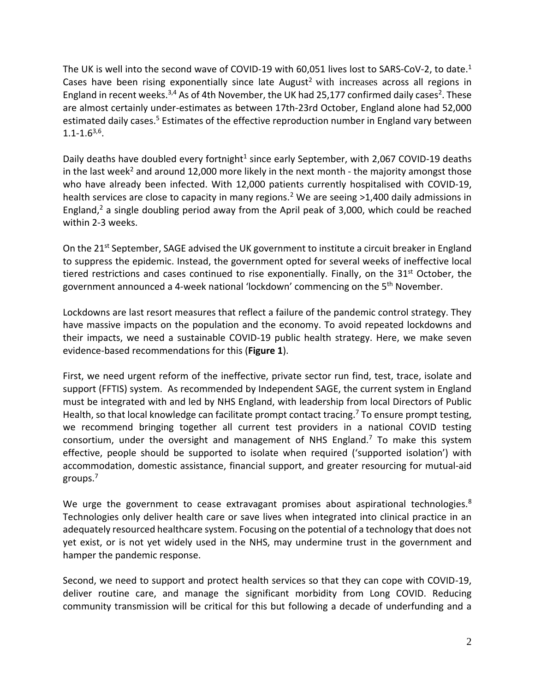The UK is well into the second wave of COVID-19 with 60,051 lives lost to SARS-CoV-2, to date.<sup>1</sup> Cases have been rising exponentially since late August<sup>2</sup> with increases across all regions in England in recent weeks.<sup>3,4</sup> As of 4th November, the UK had 25,177 confirmed daily cases<sup>2</sup>. These are almost certainly under-estimates as between 17th-23rd October, England alone had 52,000 estimated daily cases.<sup>5</sup> Estimates of the effective reproduction number in England vary between  $1.1 - 1.6^{3,6}$ .

Daily deaths have doubled every fortnight<sup>1</sup> since early September, with 2,067 COVID-19 deaths in the last week<sup>2</sup> and around 12,000 more likely in the next month - the majority amongst those who have already been infected. With 12,000 patients currently hospitalised with COVID-19, health services are close to capacity in many regions.<sup>2</sup> We are seeing >1,400 daily admissions in England,<sup>2</sup> a single doubling period away from the April peak of 3,000, which could be reached within 2-3 weeks.

On the 21<sup>st</sup> September, SAGE advised the UK government to institute a circuit breaker in England to suppress the epidemic. Instead, the government opted for several weeks of ineffective local tiered restrictions and cases continued to rise exponentially. Finally, on the 31<sup>st</sup> October, the government announced a 4-week national 'lockdown' commencing on the 5<sup>th</sup> November.

Lockdowns are last resort measures that reflect a failure of the pandemic control strategy. They have massive impacts on the population and the economy. To avoid repeated lockdowns and their impacts, we need a sustainable COVID-19 public health strategy. Here, we make seven evidence-based recommendations for this (**Figure 1**).

First, we need urgent reform of the ineffective, private sector run find, test, trace, isolate and support (FFTIS) system. As recommended by Independent SAGE, the current system in England must be integrated with and led by NHS England, with leadership from local Directors of Public Health, so that local knowledge can facilitate prompt contact tracing.<sup>7</sup> To ensure prompt testing, we recommend bringing together all current test providers in a national COVID testing consortium, under the oversight and management of NHS England.<sup>7</sup> To make this system effective, people should be supported to isolate when required ('supported isolation') with accommodation, domestic assistance, financial support, and greater resourcing for mutual-aid groups. 7

We urge the government to cease extravagant promises about aspirational technologies.<sup>8</sup> Technologies only deliver health care or save lives when integrated into clinical practice in an adequately resourced healthcare system. Focusing on the potential of a technology that does not yet exist, or is not yet widely used in the NHS, may undermine trust in the government and hamper the pandemic response.

Second, we need to support and protect health services so that they can cope with COVID-19, deliver routine care, and manage the significant morbidity from Long COVID. Reducing community transmission will be critical for this but following a decade of underfunding and a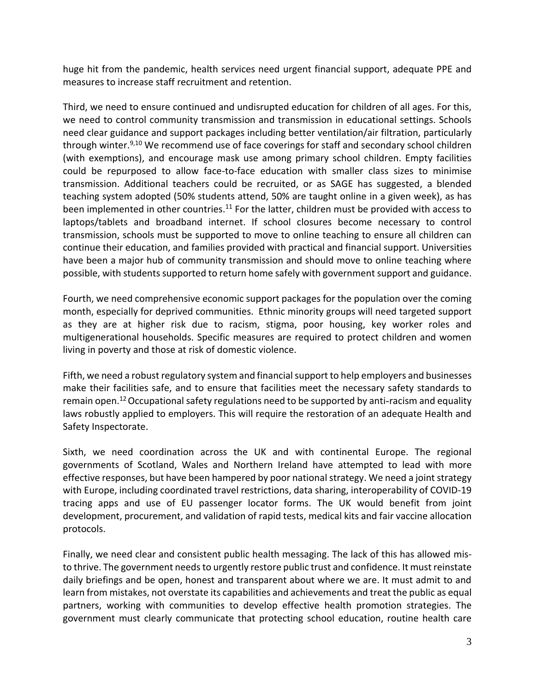huge hit from the pandemic, health services need urgent financial support, adequate PPE and measures to increase staff recruitment and retention.

Third, we need to ensure continued and undisrupted education for children of all ages. For this, we need to control community transmission and transmission in educational settings. Schools need clear guidance and support packages including better ventilation/air filtration, particularly through winter.<sup>9,10</sup> We recommend use of face coverings for staff and secondary school children (with exemptions), and encourage mask use among primary school children. Empty facilities could be repurposed to allow face-to-face education with smaller class sizes to minimise transmission. Additional teachers could be recruited, or as SAGE has suggested, a blended teaching system adopted (50% students attend, 50% are taught online in a given week), as has been implemented in other countries.<sup>11</sup> For the latter, children must be provided with access to laptops/tablets and broadband internet. If school closures become necessary to control transmission, schools must be supported to move to online teaching to ensure all children can continue their education, and families provided with practical and financial support. Universities have been a major hub of community transmission and should move to online teaching where possible, with students supported to return home safely with government support and guidance.

Fourth, we need comprehensive economic support packages for the population over the coming month, especially for deprived communities. Ethnic minority groups will need targeted support as they are at higher risk due to racism, stigma, poor housing, key worker roles and multigenerational households. Specific measures are required to protect children and women living in poverty and those at risk of domestic violence.

Fifth, we need a robust regulatory system and financial support to help employers and businesses make their facilities safe, and to ensure that facilities meet the necessary safety standards to remain open.<sup>12</sup> Occupational safety regulations need to be supported by anti-racism and equality laws robustly applied to employers. This will require the restoration of an adequate Health and Safety Inspectorate.

Sixth, we need coordination across the UK and with continental Europe. The regional governments of Scotland, Wales and Northern Ireland have attempted to lead with more effective responses, but have been hampered by poor national strategy. We need a joint strategy with Europe, including coordinated travel restrictions, data sharing, interoperability of COVID-19 tracing apps and use of EU passenger locator forms. The UK would benefit from joint development, procurement, and validation of rapid tests, medical kits and fair vaccine allocation protocols.

Finally, we need clear and consistent public health messaging. The lack of this has allowed misto thrive. The government needs to urgently restore public trust and confidence. It must reinstate daily briefings and be open, honest and transparent about where we are. It must admit to and learn from mistakes, not overstate its capabilities and achievements and treat the public as equal partners, working with communities to develop effective health promotion strategies. The government must clearly communicate that protecting school education, routine health care